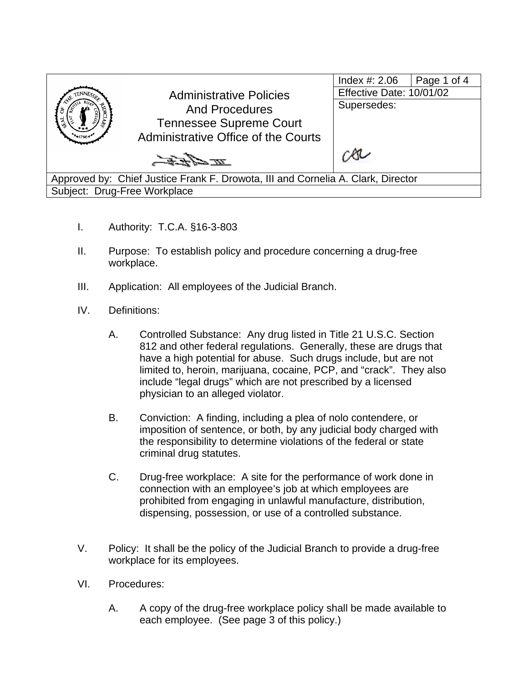|                                                                                  |                                                         | Index #: 2.06            | Page 1 of 4 |  |  |
|----------------------------------------------------------------------------------|---------------------------------------------------------|--------------------------|-------------|--|--|
|                                                                                  | <b>Administrative Policies</b><br><b>And Procedures</b> | Effective Date: 10/01/02 |             |  |  |
|                                                                                  |                                                         | Supersedes:              |             |  |  |
|                                                                                  | <b>Tennessee Supreme Court</b>                          |                          |             |  |  |
|                                                                                  | Administrative Office of the Courts                     |                          |             |  |  |
|                                                                                  |                                                         |                          |             |  |  |
|                                                                                  | エネセモ                                                    |                          |             |  |  |
| Approved by: Chief Justice Frank F. Drowota, III and Cornelia A. Clark, Director |                                                         |                          |             |  |  |
|                                                                                  |                                                         |                          |             |  |  |
| Subject: Drug-Free Workplace                                                     |                                                         |                          |             |  |  |

- I. Authority: T.C.A. §16-3-803
- II. Purpose: To establish policy and procedure concerning a drug-free workplace.
- III. Application: All employees of the Judicial Branch.
- IV. Definitions:
	- A. Controlled Substance: Any drug listed in Title 21 U.S.C. Section 812 and other federal regulations. Generally, these are drugs that have a high potential for abuse. Such drugs include, but are not limited to, heroin, marijuana, cocaine, PCP, and "crack". They also include "legal drugs" which are not prescribed by a licensed physician to an alleged violator.
	- B. Conviction: A finding, including a plea of nolo contendere, or imposition of sentence, or both, by any judicial body charged with the responsibility to determine violations of the federal or state criminal drug statutes.
	- C. Drug-free workplace: A site for the performance of work done in connection with an employee's job at which employees are prohibited from engaging in unlawful manufacture, distribution, dispensing, possession, or use of a controlled substance.
- V. Policy: It shall be the policy of the Judicial Branch to provide a drug-free workplace for its employees.
- VI. Procedures:
	- A. A copy of the drug-free workplace policy shall be made available to each employee. (See page 3 of this policy.)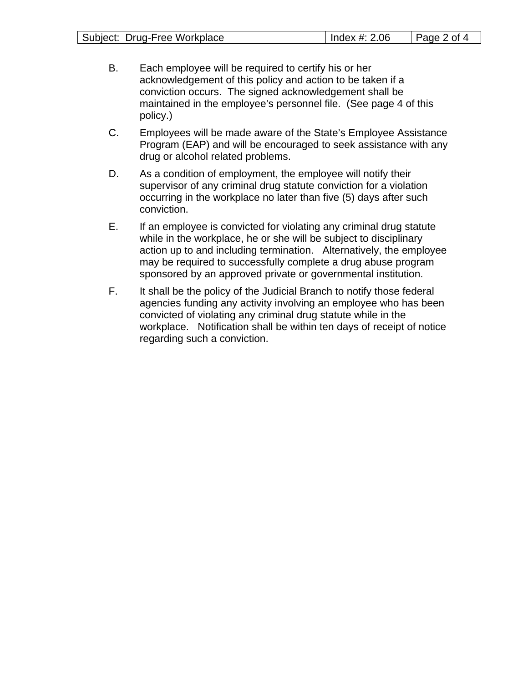| Subject: Drug-Free Workplace | Index #: 2.06 | $\vert$ Page 2 of 4 |
|------------------------------|---------------|---------------------|
|                              |               |                     |

- B. Each employee will be required to certify his or her acknowledgement of this policy and action to be taken if a conviction occurs. The signed acknowledgement shall be maintained in the employee's personnel file. (See page 4 of this policy.)
- C. Employees will be made aware of the State's Employee Assistance Program (EAP) and will be encouraged to seek assistance with any drug or alcohol related problems.
- D. As a condition of employment, the employee will notify their supervisor of any criminal drug statute conviction for a violation occurring in the workplace no later than five (5) days after such conviction.
- E. If an employee is convicted for violating any criminal drug statute while in the workplace, he or she will be subject to disciplinary action up to and including termination. Alternatively, the employee may be required to successfully complete a drug abuse program sponsored by an approved private or governmental institution.
- F. It shall be the policy of the Judicial Branch to notify those federal agencies funding any activity involving an employee who has been convicted of violating any criminal drug statute while in the workplace. Notification shall be within ten days of receipt of notice regarding such a conviction.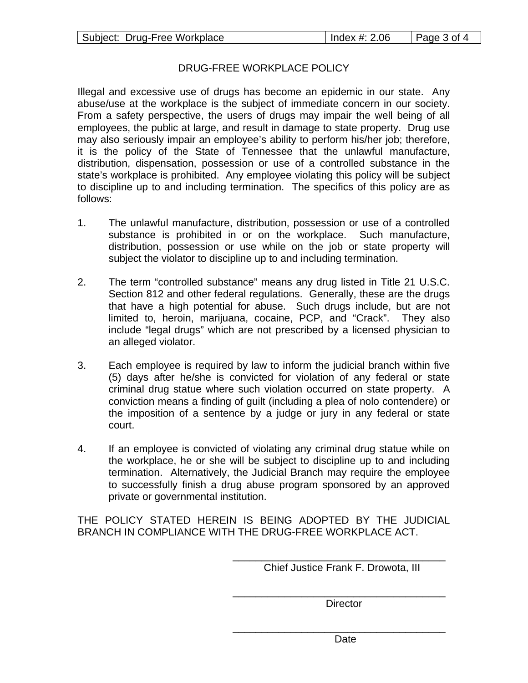## DRUG-FREE WORKPLACE POLICY

Illegal and excessive use of drugs has become an epidemic in our state. Any abuse/use at the workplace is the subject of immediate concern in our society. From a safety perspective, the users of drugs may impair the well being of all employees, the public at large, and result in damage to state property. Drug use may also seriously impair an employee's ability to perform his/her job; therefore, it is the policy of the State of Tennessee that the unlawful manufacture, distribution, dispensation, possession or use of a controlled substance in the state's workplace is prohibited. Any employee violating this policy will be subject to discipline up to and including termination. The specifics of this policy are as follows:

- 1. The unlawful manufacture, distribution, possession or use of a controlled substance is prohibited in or on the workplace. Such manufacture, distribution, possession or use while on the job or state property will subject the violator to discipline up to and including termination.
- 2. The term "controlled substance" means any drug listed in Title 21 U.S.C. Section 812 and other federal regulations. Generally, these are the drugs that have a high potential for abuse. Such drugs include, but are not limited to, heroin, marijuana, cocaine, PCP, and "Crack". They also include "legal drugs" which are not prescribed by a licensed physician to an alleged violator.
- 3. Each employee is required by law to inform the judicial branch within five (5) days after he/she is convicted for violation of any federal or state criminal drug statue where such violation occurred on state property. A conviction means a finding of guilt (including a plea of nolo contendere) or the imposition of a sentence by a judge or jury in any federal or state court.
- 4. If an employee is convicted of violating any criminal drug statue while on the workplace, he or she will be subject to discipline up to and including termination. Alternatively, the Judicial Branch may require the employee to successfully finish a drug abuse program sponsored by an approved private or governmental institution.

THE POLICY STATED HEREIN IS BEING ADOPTED BY THE JUDICIAL BRANCH IN COMPLIANCE WITH THE DRUG-FREE WORKPLACE ACT.

Chief Justice Frank F. Drowota, III

\_\_\_\_\_\_\_\_\_\_\_\_\_\_\_\_\_\_\_\_\_\_\_\_\_\_\_\_\_\_\_\_\_\_\_\_\_

 $\overline{\phantom{a}}$  ,  $\overline{\phantom{a}}$  ,  $\overline{\phantom{a}}$  ,  $\overline{\phantom{a}}$  ,  $\overline{\phantom{a}}$  ,  $\overline{\phantom{a}}$  ,  $\overline{\phantom{a}}$  ,  $\overline{\phantom{a}}$  ,  $\overline{\phantom{a}}$  ,  $\overline{\phantom{a}}$  ,  $\overline{\phantom{a}}$  ,  $\overline{\phantom{a}}$  ,  $\overline{\phantom{a}}$  ,  $\overline{\phantom{a}}$  ,  $\overline{\phantom{a}}$  ,  $\overline{\phantom{a}}$ 

\_\_\_\_\_\_\_\_\_\_\_\_\_\_\_\_\_\_\_\_\_\_\_\_\_\_\_\_\_\_\_\_\_\_\_\_\_

**Director**